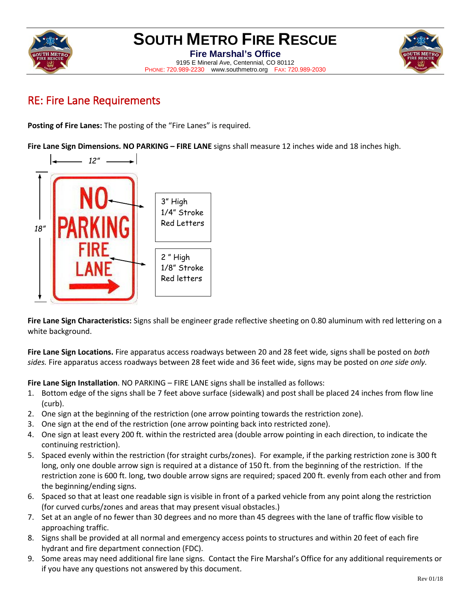

## **SOUTH METRO FIRE RESCUE**

**Fire Marshal's Office** 9195 E Mineral Ave, Centennial, CO 80112 PHONE: 720.989-2230 www.southmetro.org FAX: 720.989-2030



## RE: Fire Lane Requirements

**Posting of Fire Lanes:** The posting of the "Fire Lanes" is required.

**Fire Lane Sign Dimensions. NO PARKING – FIRE LANE** signs shall measure 12 inches wide and 18 inches high.



**Fire Lane Sign Characteristics:** Signs shall be engineer grade reflective sheeting on 0.80 aluminum with red lettering on a white background.

**Fire Lane Sign Locations.** Fire apparatus access roadways between 20 and 28 feet wide*,* signs shall be posted on *both sides.* Fire apparatus access roadways between 28 feet wide and 36 feet wide, signs may be posted on *one side only.*

**Fire Lane Sign Installation**. NO PARKING – FIRE LANE signs shall be installed as follows:

- 1. Bottom edge of the signs shall be 7 feet above surface (sidewalk) and post shall be placed 24 inches from flow line (curb).
- 2. One sign at the beginning of the restriction (one arrow pointing towards the restriction zone).
- 3. One sign at the end of the restriction (one arrow pointing back into restricted zone).
- 4. One sign at least every 200 ft. within the restricted area (double arrow pointing in each direction, to indicate the continuing restriction).
- 5. Spaced evenly within the restriction (for straight curbs/zones). For example, if the parking restriction zone is 300 ft long, only one double arrow sign is required at a distance of 150 ft. from the beginning of the restriction. If the restriction zone is 600 ft. long, two double arrow signs are required; spaced 200 ft. evenly from each other and from the beginning/ending signs.
- 6. Spaced so that at least one readable sign is visible in front of a parked vehicle from any point along the restriction (for curved curbs/zones and areas that may present visual obstacles.)
- 7. Set at an angle of no fewer than 30 degrees and no more than 45 degrees with the lane of traffic flow visible to approaching traffic.
- 8. Signs shall be provided at all normal and emergency access points to structures and within 20 feet of each fire hydrant and fire department connection (FDC).
- 9. Some areas may need additional fire lane signs. Contact the Fire Marshal's Office for any additional requirements or if you have any questions not answered by this document.